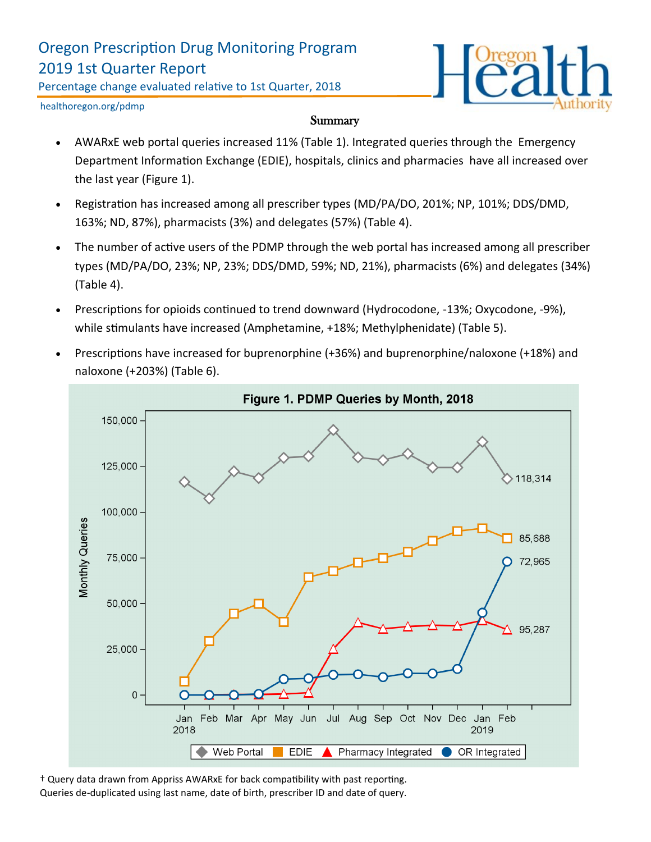## Oregon Prescription Drug Monitoring Program 2019 1st Quarter Report

Percentage change evaluated relative to 1st Quarter, 2018



healthoregon.org/pdmp

#### **Summary**

- AWARxE web portal queries increased 11% (Table 1). Integrated queries through the Emergency Department Information Exchange (EDIE), hospitals, clinics and pharmacies have all increased over the last year (Figure 1).
- Registration has increased among all prescriber types (MD/PA/DO, 201%; NP, 101%; DDS/DMD, 163%; ND, 87%), pharmacists (3%) and delegates (57%) (Table 4).
- The number of active users of the PDMP through the web portal has increased among all prescriber types (MD/PA/DO, 23%; NP, 23%; DDS/DMD, 59%; ND, 21%), pharmacists (6%) and delegates (34%) (Table 4).
- Prescriptions for opioids continued to trend downward (Hydrocodone, -13%; Oxycodone, -9%), while stimulants have increased (Amphetamine, +18%; Methylphenidate) (Table 5).
- Prescriptions have increased for buprenorphine (+36%) and buprenorphine/naloxone (+18%) and naloxone (+203%) (Table 6).



† Query data drawn from Appriss AWARxE for back compatibility with past reporting. Queries de-duplicated using last name, date of birth, prescriber ID and date of query.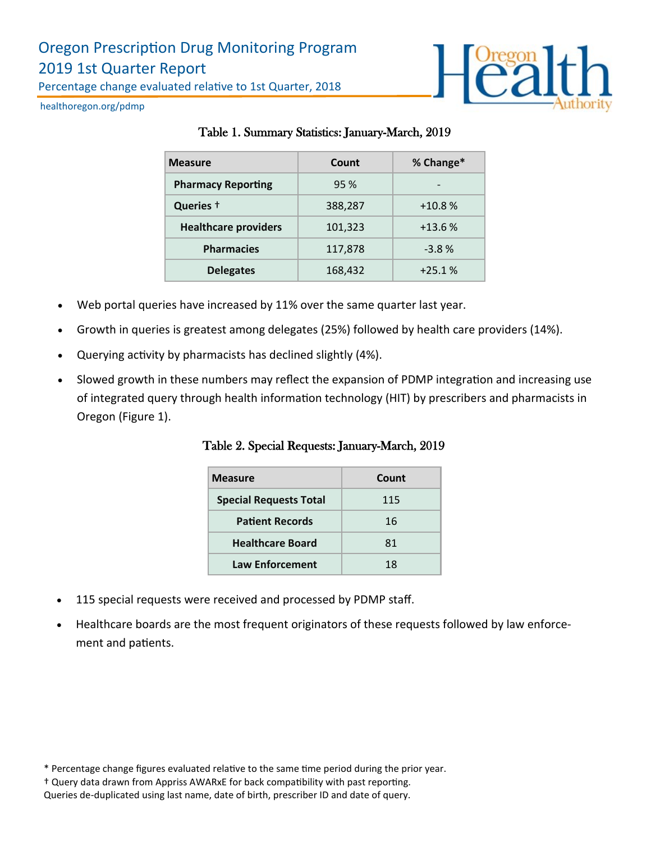

healthoregon.org/pdmp

| <b>Measure</b>              | Count   | % Change* |
|-----------------------------|---------|-----------|
| <b>Pharmacy Reporting</b>   | 95 %    |           |
| Queries +                   | 388,287 | $+10.8%$  |
| <b>Healthcare providers</b> | 101,323 | $+13.6%$  |
| <b>Pharmacies</b>           | 117,878 | $-3.8%$   |
| <b>Delegates</b>            | 168,432 | $+25.1%$  |

## Table 1. Summary Statistics: January-March, 2019

- Web portal queries have increased by 11% over the same quarter last year.
- Growth in queries is greatest among delegates (25%) followed by health care providers (14%).
- Querying activity by pharmacists has declined slightly (4%).
- Slowed growth in these numbers may reflect the expansion of PDMP integration and increasing use of integrated query through health information technology (HIT) by prescribers and pharmacists in Oregon (Figure 1).

Table 2. Special Requests: January-March, 2019

| <b>Measure</b>                | Count |
|-------------------------------|-------|
| <b>Special Requests Total</b> | 115   |
| <b>Patient Records</b>        | 16    |
| <b>Healthcare Board</b>       | 81    |
| <b>Law Enforcement</b>        | 18    |

- 115 special requests were received and processed by PDMP staff.
- Healthcare boards are the most frequent originators of these requests followed by law enforcement and patients.

\* Percentage change figures evaluated relative to the same time period during the prior year.

Queries de-duplicated using last name, date of birth, prescriber ID and date of query.

<sup>†</sup> Query data drawn from Appriss AWARxE for back compatibility with past reporting.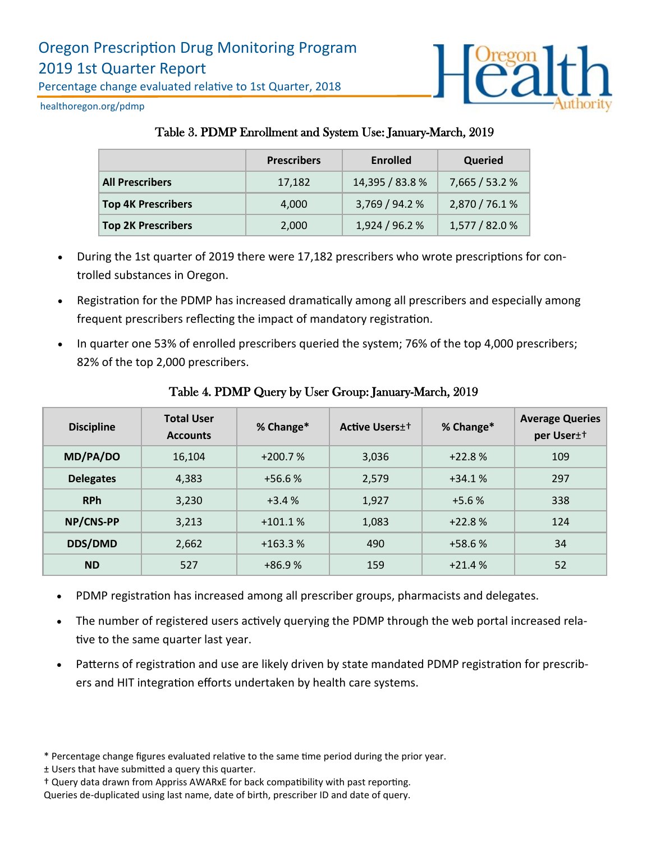

healthoregon.org/pdmp

### Table 3. PDMP Enrollment and System Use: January-March, 2019

|                           | <b>Prescribers</b> | <b>Enrolled</b> | Queried        |
|---------------------------|--------------------|-----------------|----------------|
| <b>All Prescribers</b>    | 17,182             | 14,395 / 83.8 % | 7,665 / 53.2 % |
| <b>Top 4K Prescribers</b> | 4,000              | 3,769 / 94.2 %  | 2,870 / 76.1 % |
| <b>Top 2K Prescribers</b> | 2,000              | 1,924 / 96.2 %  | 1,577 / 82.0 % |

- During the 1st quarter of 2019 there were 17,182 prescribers who wrote prescriptions for controlled substances in Oregon.
- Registration for the PDMP has increased dramatically among all prescribers and especially among frequent prescribers reflecting the impact of mandatory registration.
- In quarter one 53% of enrolled prescribers queried the system; 76% of the top 4,000 prescribers; 82% of the top 2,000 prescribers.

| <b>Discipline</b> | <b>Total User</b><br><b>Accounts</b> | % Change* | <b>Active Users</b> ± † | % Change* | <b>Average Queries</b><br>per User <sup>++</sup> |
|-------------------|--------------------------------------|-----------|-------------------------|-----------|--------------------------------------------------|
| MD/PA/DO          | 16,104                               | $+200.7%$ | 3,036                   | $+22.8%$  | 109                                              |
| <b>Delegates</b>  | 4,383                                | $+56.6%$  | 2,579                   | $+34.1%$  | 297                                              |
| <b>RPh</b>        | 3,230                                | $+3.4%$   | 1,927                   | $+5.6%$   | 338                                              |
| NP/CNS-PP         | 3,213                                | $+101.1%$ | 1,083                   | $+22.8%$  | 124                                              |
| <b>DDS/DMD</b>    | 2,662                                | $+163.3%$ | 490                     | $+58.6%$  | 34                                               |
| <b>ND</b>         | 527                                  | $+86.9%$  | 159                     | $+21.4%$  | 52                                               |

#### Table 4. PDMP Query by User Group: January-March, 2019

- PDMP registration has increased among all prescriber groups, pharmacists and delegates.
- The number of registered users actively querying the PDMP through the web portal increased relative to the same quarter last year.
- Patterns of registration and use are likely driven by state mandated PDMP registration for prescribers and HIT integration efforts undertaken by health care systems.

<sup>\*</sup> Percentage change figures evaluated relative to the same time period during the prior year.

<sup>±</sup> Users that have submitted a query this quarter.

<sup>†</sup> Query data drawn from Appriss AWARxE for back compatibility with past reporting.

Queries de-duplicated using last name, date of birth, prescriber ID and date of query.